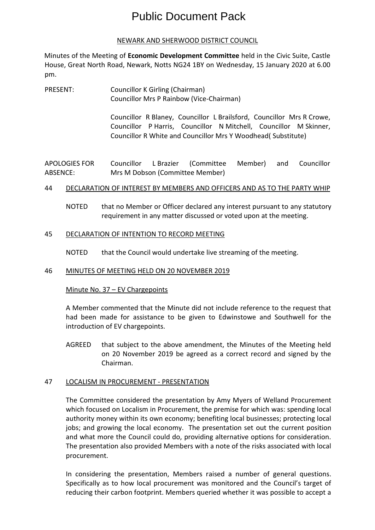# Public Document Pack

#### NEWARK AND SHERWOOD DISTRICT COUNCIL

Minutes of the Meeting of **Economic Development Committee** held in the Civic Suite, Castle House, Great North Road, Newark, Notts NG24 1BY on Wednesday, 15 January 2020 at 6.00 pm.

PRESENT: Councillor K Girling (Chairman) Councillor Mrs P Rainbow (Vice-Chairman)

> Councillor R Blaney, Councillor L Brailsford, Councillor Mrs R Crowe, Councillor P Harris, Councillor N Mitchell, Councillor M Skinner, Councillor R White and Councillor Mrs Y Woodhead( Substitute)

APOLOGIES FOR ABSENCE: Councillor L Brazier (Committee Member) and Councillor Mrs M Dobson (Committee Member)

## 44 DECLARATION OF INTEREST BY MEMBERS AND OFFICERS AND AS TO THE PARTY WHIP

NOTED that no Member or Officer declared any interest pursuant to any statutory requirement in any matter discussed or voted upon at the meeting.

## 45 DECLARATION OF INTENTION TO RECORD MEETING

NOTED that the Council would undertake live streaming of the meeting.

#### 46 MINUTES OF MEETING HELD ON 20 NOVEMBER 2019

# Minute No. 37 - EV Chargepoints

A Member commented that the Minute did not include reference to the request that had been made for assistance to be given to Edwinstowe and Southwell for the introduction of EV chargepoints.

AGREED that subject to the above amendment, the Minutes of the Meeting held on 20 November 2019 be agreed as a correct record and signed by the Chairman.

#### 47 LOCALISM IN PROCUREMENT - PRESENTATION

The Committee considered the presentation by Amy Myers of Welland Procurement which focused on Localism in Procurement, the premise for which was: spending local authority money within its own economy; benefiting local businesses; protecting local jobs; and growing the local economy. The presentation set out the current position and what more the Council could do, providing alternative options for consideration. The presentation also provided Members with a note of the risks associated with local procurement.

In considering the presentation, Members raised a number of general questions. Specifically as to how local procurement was monitored and the Council's target of reducing their carbon footprint. Members queried whether it was possible to accept a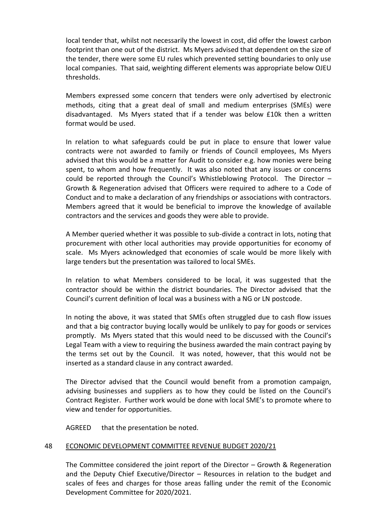local tender that, whilst not necessarily the lowest in cost, did offer the lowest carbon footprint than one out of the district. Ms Myers advised that dependent on the size of the tender, there were some EU rules which prevented setting boundaries to only use local companies. That said, weighting different elements was appropriate below OJEU thresholds.

Members expressed some concern that tenders were only advertised by electronic methods, citing that a great deal of small and medium enterprises (SMEs) were disadvantaged. Ms Myers stated that if a tender was below £10k then a written format would be used.

In relation to what safeguards could be put in place to ensure that lower value contracts were not awarded to family or friends of Council employees, Ms Myers advised that this would be a matter for Audit to consider e.g. how monies were being spent, to whom and how frequently. It was also noted that any issues or concerns could be reported through the Council's Whistleblowing Protocol. The Director – Growth & Regeneration advised that Officers were required to adhere to a Code of Conduct and to make a declaration of any friendships or associations with contractors. Members agreed that it would be beneficial to improve the knowledge of available contractors and the services and goods they were able to provide.

A Member queried whether it was possible to sub-divide a contract in lots, noting that procurement with other local authorities may provide opportunities for economy of scale. Ms Myers acknowledged that economies of scale would be more likely with large tenders but the presentation was tailored to local SMEs.

In relation to what Members considered to be local, it was suggested that the contractor should be within the district boundaries. The Director advised that the Council's current definition of local was a business with a NG or LN postcode.

In noting the above, it was stated that SMEs often struggled due to cash flow issues and that a big contractor buying locally would be unlikely to pay for goods or services promptly. Ms Myers stated that this would need to be discussed with the Council's Legal Team with a view to requiring the business awarded the main contract paying by the terms set out by the Council. It was noted, however, that this would not be inserted as a standard clause in any contract awarded.

The Director advised that the Council would benefit from a promotion campaign, advising businesses and suppliers as to how they could be listed on the Council's Contract Register. Further work would be done with local SME's to promote where to view and tender for opportunities.

AGREED that the presentation be noted.

#### 48 ECONOMIC DEVELOPMENT COMMITTEE REVENUE BUDGET 2020/21

The Committee considered the joint report of the Director – Growth & Regeneration and the Deputy Chief Executive/Director – Resources in relation to the budget and scales of fees and charges for those areas falling under the remit of the Economic Development Committee for 2020/2021.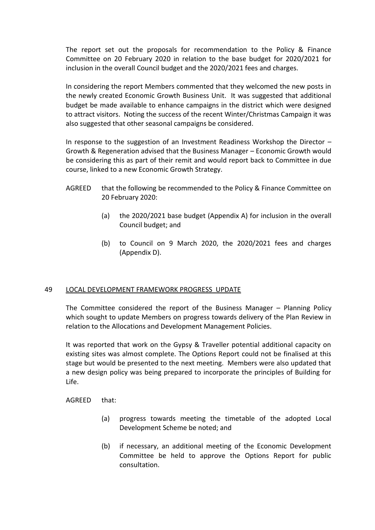The report set out the proposals for recommendation to the Policy & Finance Committee on 20 February 2020 in relation to the base budget for 2020/2021 for inclusion in the overall Council budget and the 2020/2021 fees and charges.

In considering the report Members commented that they welcomed the new posts in the newly created Economic Growth Business Unit. It was suggested that additional budget be made available to enhance campaigns in the district which were designed to attract visitors. Noting the success of the recent Winter/Christmas Campaign it was also suggested that other seasonal campaigns be considered.

In response to the suggestion of an Investment Readiness Workshop the Director – Growth & Regeneration advised that the Business Manager – Economic Growth would be considering this as part of their remit and would report back to Committee in due course, linked to a new Economic Growth Strategy.

- AGREED that the following be recommended to the Policy & Finance Committee on 20 February 2020:
	- (a) the 2020/2021 base budget (Appendix A) for inclusion in the overall Council budget; and
	- (b) to Council on 9 March 2020, the 2020/2021 fees and charges (Appendix D).

# 49 LOCAL DEVELOPMENT FRAMEWORK PROGRESS UPDATE

The Committee considered the report of the Business Manager – Planning Policy which sought to update Members on progress towards delivery of the Plan Review in relation to the Allocations and Development Management Policies.

It was reported that work on the Gypsy & Traveller potential additional capacity on existing sites was almost complete. The Options Report could not be finalised at this stage but would be presented to the next meeting. Members were also updated that a new design policy was being prepared to incorporate the principles of Building for Life.

AGREED that:

- (a) progress towards meeting the timetable of the adopted Local Development Scheme be noted; and
- (b) if necessary, an additional meeting of the Economic Development Committee be held to approve the Options Report for public consultation.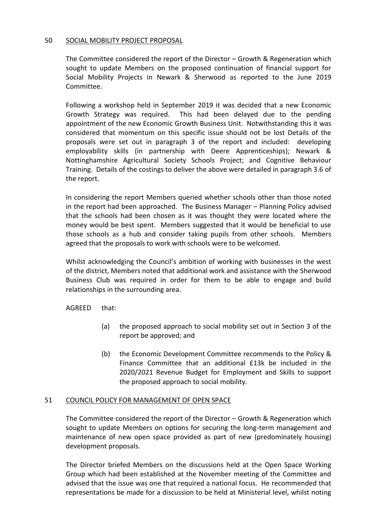#### 50 SOCIAL MOBILITY PROJECT PROPOSAL

The Committee considered the report of the Director – Growth & Regeneration which sought to update Members on the proposed continuation of financial support for Social Mobility Projects in Newark & Sherwood as reported to the June 2019 Committee.

Following a workshop held in September 2019 it was decided that a new Economic Growth Strategy was required. This had been delayed due to the pending appointment of the new Economic Growth Business Unit. Notwithstanding this it was considered that momentum on this specific issue should not be lost Details of the proposals were set out in paragraph 3 of the report and included: developing employability skills (in partnership with Deere Apprenticeships); Newark & Nottinghamshire Agricultural Society Schools Project; and Cognitive Behaviour Training. Details of the costings to deliver the above were detailed in paragraph 3.6 of the report.

In considering the report Members queried whether schools other than those noted in the report had been approached. The Business Manager – Planning Policy advised that the schools had been chosen as it was thought they were located where the money would be best spent. Members suggested that it would be beneficial to use those schools as a hub and consider taking pupils from other schools. Members agreed that the proposals to work with schools were to be welcomed.

Whilst acknowledging the Council's ambition of working with businesses in the west of the district, Members noted that additional work and assistance with the Sherwood Business Club was required in order for them to be able to engage and build relationships in the surrounding area.

AGREED that:

- (a) the proposed approach to social mobility set out in Section 3 of the report be approved; and
- (b) the Economic Development Committee recommends to the Policy & Finance Committee that an additional £13k be included in the 2020/2021 Revenue Budget for Employment and Skills to support the proposed approach to social mobility.

# 51 COUNCIL POLICY FOR MANAGEMENT OF OPEN SPACE

The Committee considered the report of the Director – Growth & Regeneration which sought to update Members on options for securing the long-term management and maintenance of new open space provided as part of new (predominately housing) development proposals.

The Director briefed Members on the discussions held at the Open Space Working Group which had been established at the November meeting of the Committee and advised that the issue was one that required a national focus. He recommended that representations be made for a discussion to be held at Ministerial level, whilst noting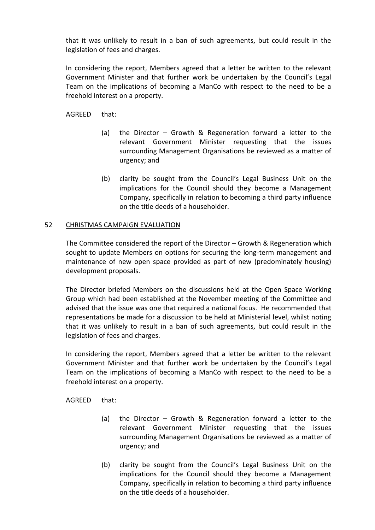that it was unlikely to result in a ban of such agreements, but could result in the legislation of fees and charges.

In considering the report, Members agreed that a letter be written to the relevant Government Minister and that further work be undertaken by the Council's Legal Team on the implications of becoming a ManCo with respect to the need to be a freehold interest on a property.

AGREED that:

- (a) the Director Growth & Regeneration forward a letter to the relevant Government Minister requesting that the issues surrounding Management Organisations be reviewed as a matter of urgency; and
- (b) clarity be sought from the Council's Legal Business Unit on the implications for the Council should they become a Management Company, specifically in relation to becoming a third party influence on the title deeds of a householder.

#### 52 CHRISTMAS CAMPAIGN EVALUATION

The Committee considered the report of the Director – Growth & Regeneration which sought to update Members on options for securing the long-term management and maintenance of new open space provided as part of new (predominately housing) development proposals.

The Director briefed Members on the discussions held at the Open Space Working Group which had been established at the November meeting of the Committee and advised that the issue was one that required a national focus. He recommended that representations be made for a discussion to be held at Ministerial level, whilst noting that it was unlikely to result in a ban of such agreements, but could result in the legislation of fees and charges.

In considering the report, Members agreed that a letter be written to the relevant Government Minister and that further work be undertaken by the Council's Legal Team on the implications of becoming a ManCo with respect to the need to be a freehold interest on a property.

AGREED that:

- (a) the Director Growth & Regeneration forward a letter to the relevant Government Minister requesting that the issues surrounding Management Organisations be reviewed as a matter of urgency; and
- (b) clarity be sought from the Council's Legal Business Unit on the implications for the Council should they become a Management Company, specifically in relation to becoming a third party influence on the title deeds of a householder.